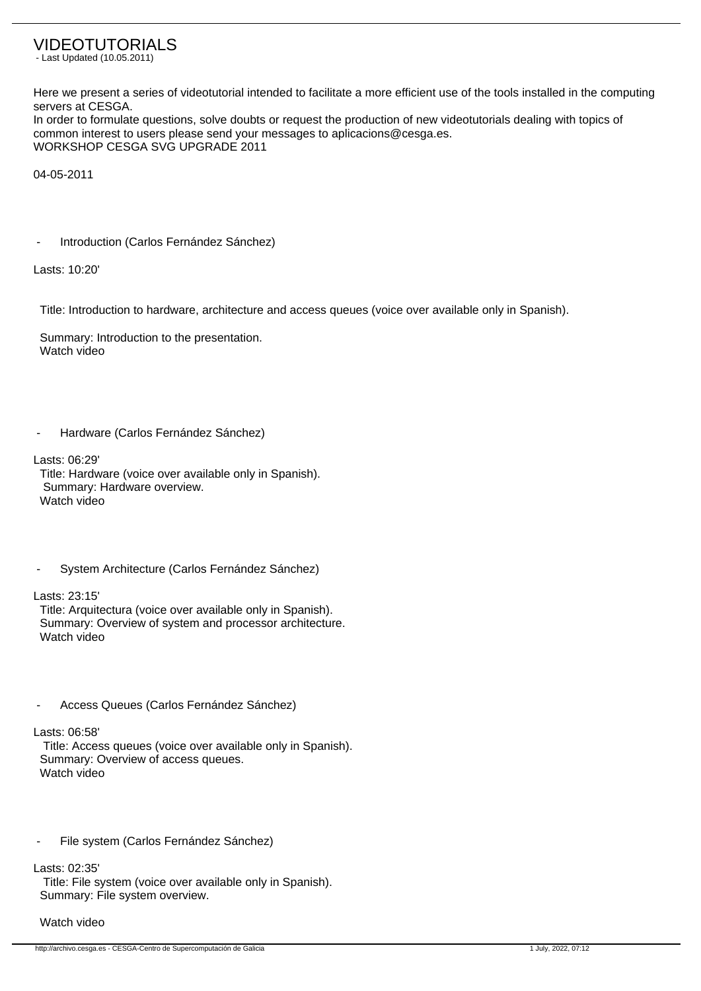## VIDEOTUTORIALS

- Last Updated (10.05.2011)

Here we present a series of videotutorial intended to facilitate a more efficient use of the tools installed in the computing servers at CESGA.

In order to formulate questions, solve doubts or request the production of new videotutorials dealing with topics of common interest to users please send your messages to aplicacions@cesga.es. WORKSHOP CESGA SVG UPGRADE 2011

04-05-2011

Introduction (Carlos Fernández Sánchez)

Lasts: 10:20'

Title: Introduction to hardware, architecture and access queues (voice over available only in Spanish).

 Summary: Introduction to the presentation. Watch video

Hardware (Carlos Fernández Sánchez)

Lasts: 06:29'

 Title: Hardware (voice over available only in Spanish). Summary: Hardware overview. Watch video

System Architecture (Carlos Fernández Sánchez)

Lasts: 23:15'

 Title: Arquitectura (voice over available only in Spanish). Summary: Overview of system and processor architecture. Watch video

Access Queues (Carlos Fernández Sánchez)

Lasts: 06:58'

 Title: Access queues (voice over available only in Spanish). Summary: Overview of access queues. Watch video

File system (Carlos Fernández Sánchez)

Lasts: 02:35'

 Title: File system (voice over available only in Spanish). Summary: File system overview.

## Watch video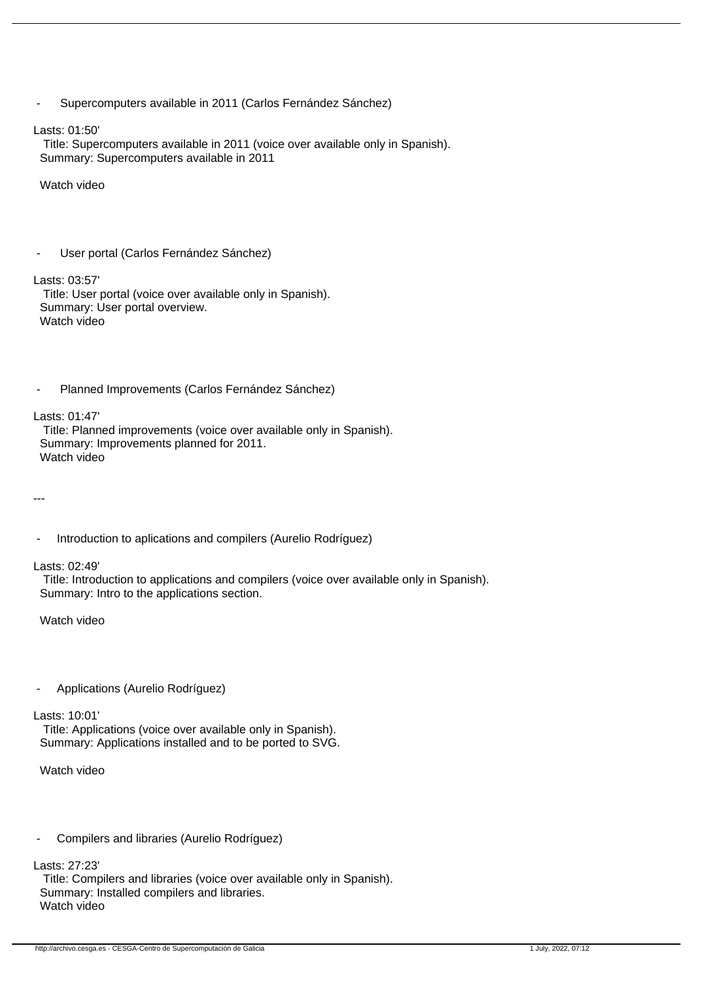|  | Supercomputers available in 2011 (Carlos Fernández Sánchez) |  |
|--|-------------------------------------------------------------|--|
|--|-------------------------------------------------------------|--|

Lasts: 01:50'

 Title: Supercomputers available in 2011 (voice over available only in Spanish). Summary: Supercomputers available in 2011

Watch video

```
User portal (Carlos Fernández Sánchez)
```
Lasts: 03:57'

 Title: User portal (voice over available only in Spanish). Summary: User portal overview. Watch video

Planned Improvements (Carlos Fernández Sánchez)

Lasts: 01:47'

 Title: Planned improvements (voice over available only in Spanish). Summary: Improvements planned for 2011. Watch video

---

Introduction to aplications and compilers (Aurelio Rodríguez)

Lasts: 02:49'

 Title: Introduction to applications and compilers (voice over available only in Spanish). Summary: Intro to the applications section.

Watch video

- Applications (Aurelio Rodríguez)

## Lasts: 10:01'

 Title: Applications (voice over available only in Spanish). Summary: Applications installed and to be ported to SVG.

Watch video

- Compilers and libraries (Aurelio Rodríguez)

Lasts: 27:23'

 Title: Compilers and libraries (voice over available only in Spanish). Summary: Installed compilers and libraries. Watch video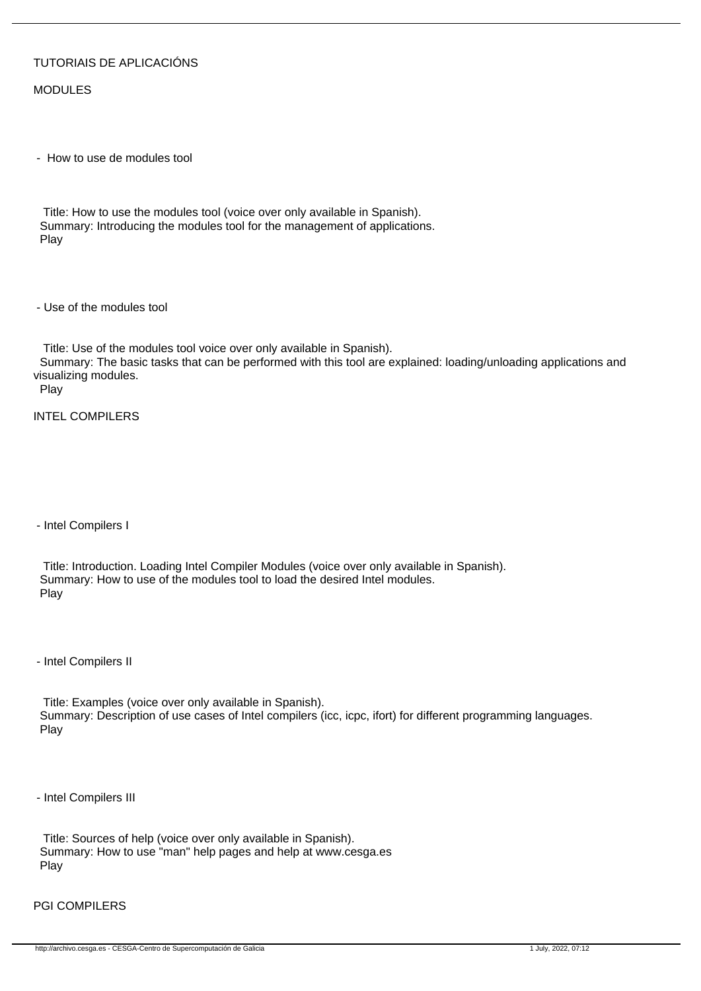## TUTORIAIS DE APLICACIÓNS

MODULES

- How to use de modules tool

 Title: How to use the modules tool (voice over only available in Spanish). Summary: Introducing the modules tool for the management of applications. Play

- Use of the modules tool

 Title: Use of the modules tool voice over only available in Spanish). Summary: The basic tasks that can be performed with this tool are explained: loading/unloading applications and visualizing modules.

Play

INTEL COMPILERS

- Intel Compilers I

 Title: Introduction. Loading Intel Compiler Modules (voice over only available in Spanish). Summary: How to use of the modules tool to load the desired Intel modules. Play

- Intel Compilers II

 Title: Examples (voice over only available in Spanish). Summary: Description of use cases of Intel compilers (icc, icpc, ifort) for different programming languages. Play

- Intel Compilers III

 Title: Sources of help (voice over only available in Spanish). Summary: How to use "man" help pages and help at www.cesga.es Play

PGI COMPILERS